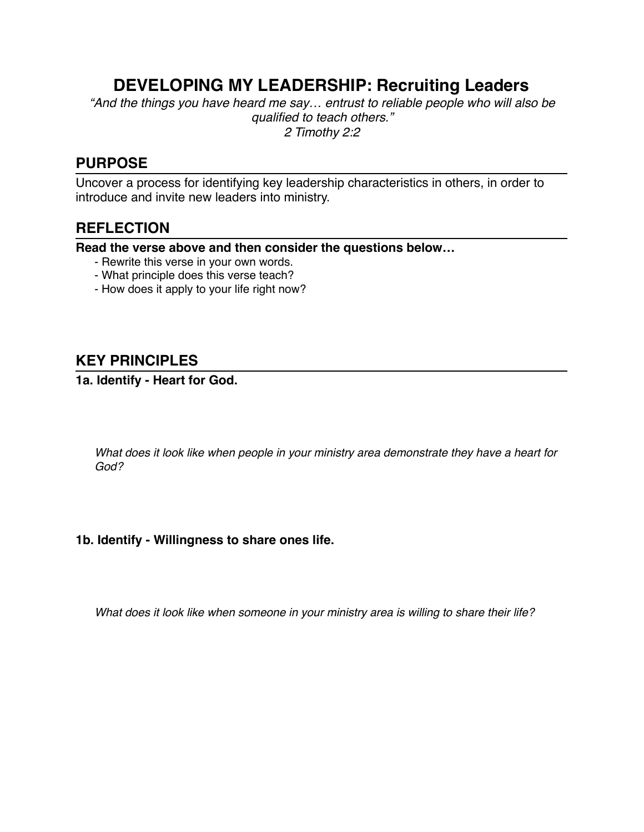# **DEVELOPING MY LEADERSHIP: Recruiting Leaders**

*"And the things you have heard me say… entrust to reliable people who will also be qualified to teach others." 2 Timothy 2:2*

# **PURPOSE**

Uncover a process for identifying key leadership characteristics in others, in order to introduce and invite new leaders into ministry.

# **REFLECTION**

**Read the verse above and then consider the questions below…**

- Rewrite this verse in your own words.
- What principle does this verse teach?
- How does it apply to your life right now?

# **KEY PRINCIPLES**

### **1a. Identify - Heart for God.**

*What does it look like when people in your ministry area demonstrate they have a heart for God?*

#### **1b. Identify - Willingness to share ones life.**

*What does it look like when someone in your ministry area is willing to share their life?*